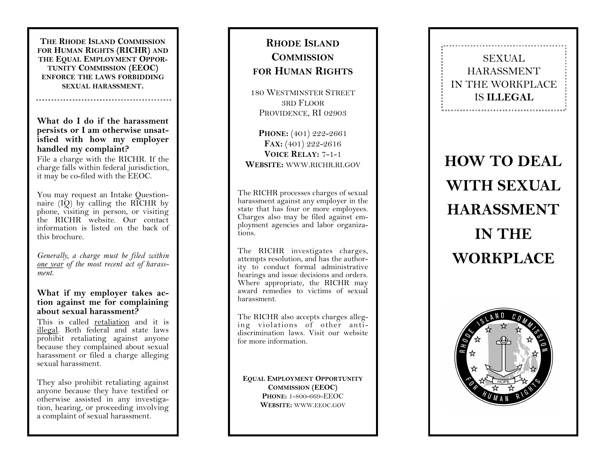**THE RHODE ISLAND COMMISSION FOR HUMAN RIGHTS (RICHR) AND THE EQUAL EMPLOYMENT OPPOR-TUNITY COMMISSION (EEOC) ENFORCE THE LAWS FORBIDDING SEXUAL HARASSMENT .**

**What do I do if the harassment persists or I am otherwise unsatisfied with how my employer handled my complaint?**

File a charge with the RICHR. If the charge falls within federal jurisdiction, it may be co -filed with the EEOC.

You may request an Intake Questionnaire  $(I\check{Q})$  by calling the RICHR by phone, visiting in person, or visiting the RICHR website. Our contact information is listed on the back of this brochure.

*Generally, a charge must be filed within one year of the most recent act of harassment.*

#### **What if my employer takes action against me for complaining about sexual harassment?**

This is called retaliation and it is illegal. Both federal and state laws prohibit retaliating against anyone because they complained about sexual harassment or filed a charge alleging sexual harassment.

They also prohibit retaliating against anyone because they have testified or otherwise assisted in any investigation, hearing, or proceeding involving a complaint of sexual harassment.

# **RHODE ISLAND COMMISSION FOR HUMAN RIGHTS**

180 WESTMINSTER STREET 3RD FLOOR PROVIDENCE, RI 02903

**PHONE:** (401) 222-2661 **FAX:** (401) 222-2616 **VOICE RELAY:** 7-1-1 **WEBSITE:** WWW.RICHR.RI.GOV

The RICHR processes charges of sexual harassment against any employer in the state that has four or more employees. Charges also may be filed against employment agencies and labor organizations.

The RICHR investigates charges,<br>attempts resolution, and has the authority to conduct formal administrative hearings and issue decisions and orders. Where appropriate, the RICHR may award remedies to victims of sexual harassment.

The RICHR also accepts charges alleging violations of other antidiscrimination laws. Visit our website for more information.

**EQUAL EMPLOYMENT OPPORTUNITY COMMISSION (EEOC) PHONE:**  1 -800 -669 -EEOC **WEBSITE:** WWW.EEOC.GOV

**HOW TO DEAL WITH SEXUAL HARASSMENT IN THE WORKPLACE**

**SEXUAL** HARASSMENT IN THE WORKPLACE IS **ILLEGAL**